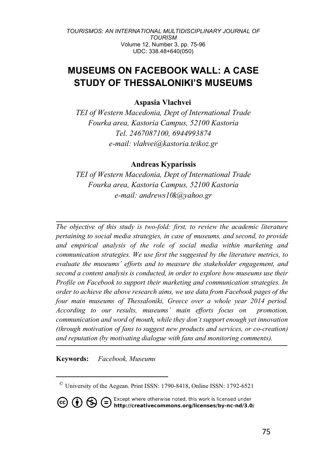# **MUSEUMS ON FACEBOOK WALL: A CASE STUDY OF THESSALONIKI'S MUSEUMS**

## **Aspasia Vlachvei**

*TEI of Western Macedonia, Dept of International Trade Fourka area, Kastoria Campus, 52100 Kastoria Tel. 2467087100, 6944993874 e-mail: vlahvei@kastoria.teikoz.gr*

## **Andreas Kyparissis**

*TEI of Western Macedonia, Dept of International Trade Fourka area, Kastoria Campus, 52100 Kastoria e-mail: andrews10k@yahoo.gr*

*The objective of this study is two-fold: first, to review the academic literature pertaining to social media strategies, in case of museums, and second, to provide and empirical analysis of the role of social media within marketing and communication strategies. We use first the suggested by the literature metrics, to evaluate the museums' efforts and to measure the stakeholder engagement, and second a content analysis is conducted, in order to explore how museums use their Profile on Facebook to support their marketing and communication strategies. In order to achieve the above research aims, we use data from Facebook pages of the four main museums of Thessaloniki, Greece over a whole year 2014 period. According to our results, museums' main efforts focus on promotion, communication and word of mouth, while they don't support enough yet innovation (through motivation of fans to suggest new products and services, or co-creation) and reputation (by motivating dialogue with fans and monitoring comments).*

**Keywords:** *Facebook, Museums*

 $\overline{a}$ 

**CO (i)**  $\bigoplus$  **C** Except where otherwise noted, this work is licensed under **http://creativecommons.org/licenses/by-nc-nd/3.0/** 

<sup>©</sup> University of the Aegean. Print ISSN: 1790-8418, Online ISSN: 1792-6521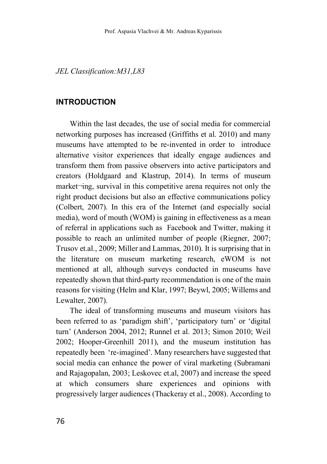*JEL Classification:M31,L83*

## **INTRODUCTION**

Within the last decades, the use of social media for commercial networking purposes has increased (Griffiths et al. 2010) and many museums have attempted to be re-invented in order to introduce alternative visitor experiences that ideally engage audiences and transform them from passive observers into active participators and creators (Holdgaard and Klastrup, 2014). In terms of museum market¬ing, survival in this competitive arena requires not only the right product decisions but also an effective communications policy (Colbert, 2007). In this era of the Internet (and especially social media), word of mouth (WOM) is gaining in effectiveness as a mean of referral in applications such as Facebook and Twitter, making it possible to reach an unlimited number of people (Riegner, 2007; Trusov et.al., 2009; Miller and Lammas, 2010). It is surprising that in the literature on museum marketing research, eWOM is not mentioned at all, although surveys conducted in museums have repeatedly shown that third-party recommendation is one of the main reasons for visiting (Helm and Klar, 1997; Beywl, 2005; Willems and Lewalter, 2007).

The ideal of transforming museums and museum visitors has been referred to as 'paradigm shift', 'participatory turn' or 'digital turn' (Anderson 2004, 2012; Runnel et al. 2013; Simon 2010; Weil 2002; Hooper-Greenhill 2011), and the museum institution has repeatedly been 're-imagined'. Many researchers have suggested that social media can enhance the power of viral marketing (Subramani and Rajagopalan, 2003; Leskovec et.al, 2007) and increase the speed at which consumers share experiences and opinions with progressively larger audiences (Thackeray et al., 2008). According to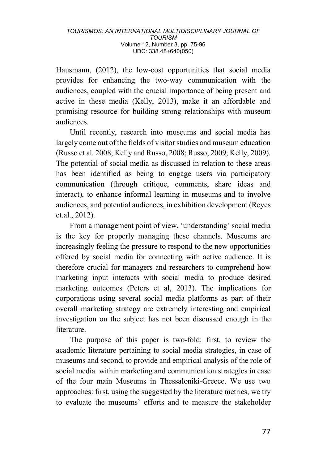Hausmann, (2012), the low-cost opportunities that social media provides for enhancing the two-way communication with the audiences, coupled with the crucial importance of being present and active in these media (Kelly, 2013), make it an affordable and promising resource for building strong relationships with museum audiences.

Until recently, research into museums and social media has largely come out of the fields of visitor studies and museum education (Russo et al. 2008; Kelly and Russo, 2008; Russo, 2009; Kelly, 2009). The potential of social media as discussed in relation to these areas has been identified as being to engage users via participatory communication (through critique, comments, share ideas and interact), to enhance informal learning in museums and to involve audiences, and potential audiences, in exhibition development (Reyes et.al., 2012).

From a management point of view, 'understanding' social media is the key for properly managing these channels. Museums are increasingly feeling the pressure to respond to the new opportunities offered by social media for connecting with active audience. It is therefore crucial for managers and researchers to comprehend how marketing input interacts with social media to produce desired marketing outcomes (Peters et al, 2013). The implications for corporations using several social media platforms as part of their overall marketing strategy are extremely interesting and empirical investigation on the subject has not been discussed enough in the literature.

The purpose of this paper is two-fold: first, to review the academic literature pertaining to social media strategies, in case of museums and second, to provide and empirical analysis of the role of social media within marketing and communication strategies in case of the four main Museums in Thessaloniki-Greece. We use two approaches: first, using the suggested by the literature metrics, we try to evaluate the museums' efforts and to measure the stakeholder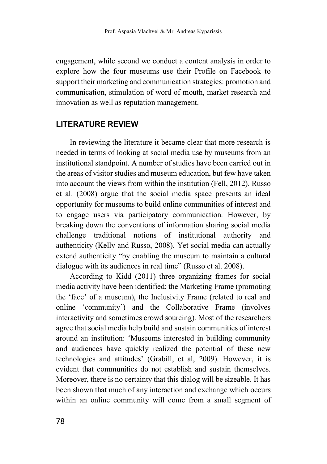engagement, while second we conduct a content analysis in order to explore how the four museums use their Profile on Facebook to support their marketing and communication strategies: promotion and communication, stimulation of word of mouth, market research and innovation as well as reputation management.

## **LITERATURE REVIEW**

In reviewing the literature it became clear that more research is needed in terms of looking at social media use by museums from an institutional standpoint. A number of studies have been carried out in the areas of visitor studies and museum education, but few have taken into account the views from within the institution (Fell, 2012). Russo et al. (2008) argue that the social media space presents an ideal opportunity for museums to build online communities of interest and to engage users via participatory communication. However, by breaking down the conventions of information sharing social media challenge traditional notions of institutional authority and authenticity (Kelly and Russo, 2008). Yet social media can actually extend authenticity "by enabling the museum to maintain a cultural dialogue with its audiences in real time" (Russo et al. 2008).

According to Kidd (2011) three organizing frames for social media activity have been identified: the Marketing Frame (promoting the 'face' of a museum), the Inclusivity Frame (related to real and online 'community') and the Collaborative Frame (involves interactivity and sometimes crowd sourcing). Most of the researchers agree that social media help build and sustain communities of interest around an institution: 'Museums interested in building community and audiences have quickly realized the potential of these new technologies and attitudes' (Grabill, et al, 2009). However, it is evident that communities do not establish and sustain themselves. Moreover, there is no certainty that this dialog will be sizeable. It has been shown that much of any interaction and exchange which occurs within an online community will come from a small segment of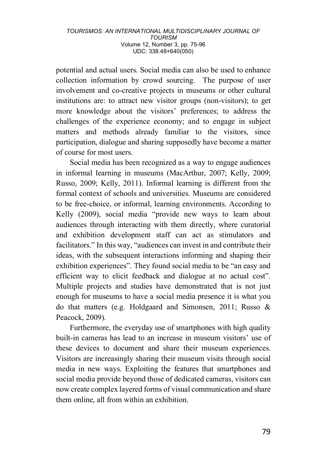potential and actual users. Social media can also be used to enhance collection information by crowd sourcing. The purpose of user involvement and co-creative projects in museums or other cultural institutions are: to attract new visitor groups (non-visitors); to get more knowledge about the visitors' preferences; to address the challenges of the experience economy; and to engage in subject matters and methods already familiar to the visitors, since participation, dialogue and sharing supposedly have become a matter of course for most users.

Social media has been recognized as a way to engage audiences in informal learning in museums (MacArthur, 2007; Kelly, 2009; Russo, 2009; Kelly, 2011). Informal learning is different from the formal context of schools and universities. Museums are considered to be free-choice, or informal, learning environments. According to Kelly (2009), social media "provide new ways to learn about audiences through interacting with them directly, where curatorial and exhibition development staff can act as stimulators and facilitators." In this way, "audiences can invest in and contribute their ideas, with the subsequent interactions informing and shaping their exhibition experiences". They found social media to be "an easy and efficient way to elicit feedback and dialogue at no actual cost". Multiple projects and studies have demonstrated that is not just enough for museums to have a social media presence it is what you do that matters (e.g. Holdgaard and Simonsen, 2011; Russo & Peacock, 2009).

Furthermore, the everyday use of smartphones with high quality built-in cameras has lead to an increase in museum visitors' use of these devices to document and share their museum experiences. Visitors are increasingly sharing their museum visits through social media in new ways. Exploiting the features that smartphones and social media provide beyond those of dedicated cameras, visitors can now create complex layered forms of visual communication and share them online, all from within an exhibition.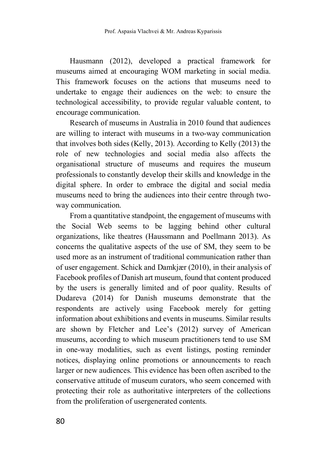Hausmann (2012), developed a practical framework for museums aimed at encouraging WOM marketing in social media. This framework focuses on the actions that museums need to undertake to engage their audiences on the web: to ensure the technological accessibility, to provide regular valuable content, to encourage communication.

Research of museums in Australia in 2010 found that audiences are willing to interact with museums in a two-way communication that involves both sides (Kelly, 2013). According to Kelly (2013) the role of new technologies and social media also affects the organisational structure of museums and requires the museum professionals to constantly develop their skills and knowledge in the digital sphere. In order to embrace the digital and social media museums need to bring the audiences into their centre through twoway communication.

From a quantitative standpoint, the engagement of museums with the Social Web seems to be lagging behind other cultural organizations, like theatres (Haussmann and Poellmann 2013). As concerns the qualitative aspects of the use of SM, they seem to be used more as an instrument of traditional communication rather than of user engagement. Schick and Damkjær (2010), in their analysis of Facebook profiles of Danish art museum, found that content produced by the users is generally limited and of poor quality. Results of Dudareva (2014) for Danish museums demonstrate that the respondents are actively using Facebook merely for getting information about exhibitions and events in museums. Similar results are shown by Fletcher and Lee's (2012) survey of American museums, according to which museum practitioners tend to use SM in one-way modalities, such as event listings, posting reminder notices, displaying online promotions or announcements to reach larger or new audiences. This evidence has been often ascribed to the conservative attitude of museum curators, who seem concerned with protecting their role as authoritative interpreters of the collections from the proliferation of usergenerated contents.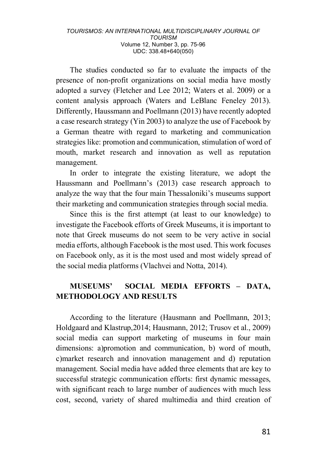The studies conducted so far to evaluate the impacts of the presence of non-profit organizations on social media have mostly adopted a survey (Fletcher and Lee 2012; Waters et al. 2009) or a content analysis approach (Waters and LeBlanc Feneley 2013). Differently, Haussmann and Poellmann (2013) have recently adopted a case research strategy (Yin 2003) to analyze the use of Facebook by a German theatre with regard to marketing and communication strategies like: promotion and communication, stimulation of word of mouth, market research and innovation as well as reputation management.

In order to integrate the existing literature, we adopt the Haussmann and Poellmann's (2013) case research approach to analyze the way that the four main Thessaloniki's museums support their marketing and communication strategies through social media.

Since this is the first attempt (at least to our knowledge) to investigate the Facebook efforts of Greek Museums, it is important to note that Greek museums do not seem to be very active in social media efforts, although Facebook is the most used. This work focuses on Facebook only, as it is the most used and most widely spread of the social media platforms (Vlachvei and Notta, 2014).

## **MUSEUMS' SOCIAL MEDIA EFFORTS – DATA, METHODOLOGY AND RESULTS**

According to the literature (Hausmann and Poellmann, 2013; Holdgaard and Klastrup,2014; Hausmann, 2012; Trusov et al., 2009) social media can support marketing of museums in four main dimensions: a)promotion and communication, b) word of mouth, c)market research and innovation management and d) reputation management. Social media have added three elements that are key to successful strategic communication efforts: first dynamic messages, with significant reach to large number of audiences with much less cost, second, variety of shared multimedia and third creation of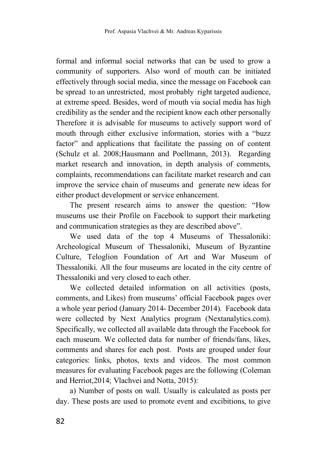formal and informal social networks that can be used to grow a community of supporters. Also word of mouth can be initiated effectively through social media, since the message on Facebook can be spread to an unrestricted, most probably right targeted audience, at extreme speed. Besides, word of mouth via social media has high credibility as the sender and the recipient know each other personally Therefore it is advisable for museums to actively support word of mouth through either exclusive information, stories with a "buzz factor" and applications that facilitate the passing on of content (Schulz et al. 2008;Hausmann and Poellmann, 2013). Regarding market research and innovation, in depth analysis of comments, complaints, recommendations can facilitate market research and can improve the service chain of museums and generate new ideas for either product development or service enhancement.

The present research aims to answer the question: "How museums use their Profile on Facebook to support their marketing and communication strategies as they are described above".

We used data of the top 4 Museums of Thessaloniki: Archeological Museum of Thessaloniki, Museum of Byzantine Culture, Teloglion Foundation of Art and War Museum of Thessaloniki. All the four museums are located in the city centre of Thessaloniki and very closed to each other.

We collected detailed information on all activities (posts, comments, and Likes) from museums' official Facebook pages over a whole year period (January 2014- December 2014). Facebook data were collected by Next Analytics program (Nextanalytics.com). Specifically, we collected all available data through the Facebook for each museum. We collected data for number of friends/fans, likes, comments and shares for each post. Posts are grouped under four categories: links, photos, texts and videos. The most common measures for evaluating Facebook pages are the following (Coleman and Herriot,2014; Vlachvei and Notta, 2015):

a) Number of posts on wall. Usually is calculated as posts per day. These posts are used to promote event and excibitions, to give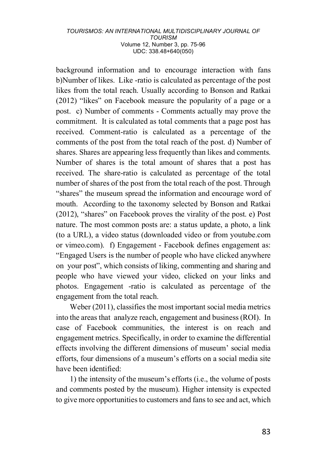background information and to encourage interaction with fans b)Number of likes. Like -ratio is calculated as percentage of the post likes from the total reach. Usually according to Bonson and Ratkai (2012) "likes" on Facebook measure the popularity of a page or a post. c) Number of comments - Comments actually may prove the commitment. It is calculated as total comments that a page post has received. Comment-ratio is calculated as a percentage of the comments of the post from the total reach of the post. d) Number of shares. Shares are appearing less frequently than likes and comments. Number of shares is the total amount of shares that a post has received. The share-ratio is calculated as percentage of the total number of shares of the post from the total reach of the post. Through "shares" the museum spread the information and encourage word of mouth. According to the taxonomy selected by Bonson and Ratkai (2012), "shares" on Facebook proves the virality of the post. e) Post nature. The most common posts are: a status update, a photo, a link (to a URL), a video status (downloaded video or from youtube.com or vimeo.com). f) Engagement - Facebook defines engagement as: "Engaged Users is the number of people who have clicked anywhere on your post", which consists of liking, commenting and sharing and people who have viewed your video, clicked on your links and photos. Engagement -ratio is calculated as percentage of the engagement from the total reach.

Weber (2011), classifies the most important social media metrics into the areas that analyze reach, engagement and business (ROI). In case of Facebook communities, the interest is on reach and engagement metrics. Specifically, in order to examine the differential effects involving the different dimensions of museum' social media efforts, four dimensions of a museum's efforts on a social media site have been identified:

1) the intensity of the museum's efforts (i.e., the volume of posts and comments posted by the museum). Higher intensity is expected to give more opportunities to customers and fans to see and act, which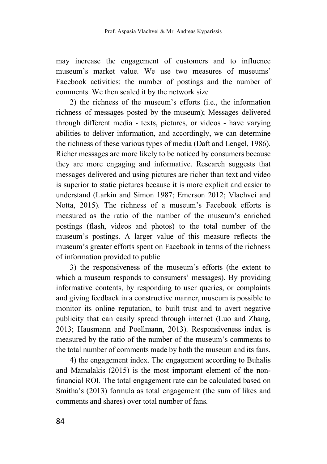may increase the engagement of customers and to influence museum's market value. We use two measures of museums' Facebook activities: the number of postings and the number of comments. We then scaled it by the network size

2) the richness of the museum's efforts  $(i.e.,$  the information richness of messages posted by the museum); Messages delivered through different media - texts, pictures, or videos - have varying abilities to deliver information, and accordingly, we can determine the richness of these various types of media (Daft and Lengel, 1986). Richer messages are more likely to be noticed by consumers because they are more engaging and informative. Research suggests that messages delivered and using pictures are richer than text and video is superior to static pictures because it is more explicit and easier to understand (Larkin and Simon 1987; Emerson 2012; Vlachvei and Notta, 2015). The richness of a museum's Facebook efforts is measured as the ratio of the number of the museum's enriched postings (flash, videos and photos) to the total number of the museum's postings. A larger value of this measure reflects the museum's greater efforts spent on Facebook in terms of the richness of information provided to public

3) the responsiveness of the museum's efforts (the extent to which a museum responds to consumers' messages). By providing informative contents, by responding to user queries, or complaints and giving feedback in a constructive manner, museum is possible to monitor its online reputation, to built trust and to avert negative publicity that can easily spread through internet (Luo and Zhang, 2013; Hausmann and Poellmann, 2013). Responsiveness index is measured by the ratio of the number of the museum's comments to the total number of comments made by both the museum and its fans.

4) the engagement index. The engagement according to Buhalis and Mamalakis (2015) is the most important element of the nonfinancial ROI. The total engagement rate can be calculated based on Smitha's (2013) formula as total engagement (the sum of likes and comments and shares) over total number of fans.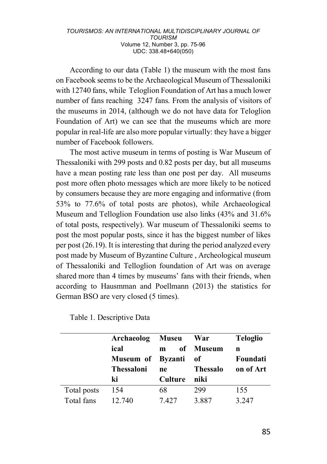According to our data (Table 1) the museum with the most fans on Facebook seems to be the Archaeological Museum of Thessaloniki with 12740 fans, while Teloglion Foundation of Art has a much lower number of fans reaching 3247 fans. From the analysis of visitors of the museums in 2014, (although we do not have data for Teloglion Foundation of Art) we can see that the museums which are more popular in real-life are also more popular virtually: they have a bigger number of Facebook followers.

The most active museum in terms of posting is War Museum of Thessaloniki with 299 posts and 0.82 posts per day, but all museums have a mean posting rate less than one post per day. All museums post more often photo messages which are more likely to be noticed by consumers because they are more engaging and informative (from 53% to 77.6% of total posts are photos), while Archaeological Museum and Telloglion Foundation use also links (43% and 31.6% of total posts, respectively). War museum of Thessaloniki seems to post the most popular posts, since it has the biggest number of likes per post (26.19). It is interesting that during the period analyzed every post made by Museum of Byzantine Culture , Archeological museum of Thessaloniki and Telloglion foundation of Art was on average shared more than 4 times by museums' fans with their friends, when according to Hausmman and Poellmann (2013) the statistics for German BSO are very closed (5 times).

|             | Archaeolog Museu  |                | <b>War</b>      | <b>Teloglio</b> |
|-------------|-------------------|----------------|-----------------|-----------------|
|             | ical              | m              | of Museum       | n               |
|             | Museum of Byzanti |                | - of            | Foundati        |
|             | <b>Thessaloni</b> | ne             | <b>Thessalo</b> | on of Art       |
|             | ki                | <b>Culture</b> | niki            |                 |
| Total posts | 154               | 68             | 299             | 155             |
| Total fans  | 12.740            | 7427           | 3.887           | 3 2 4 7         |

Table 1. Descriptive Data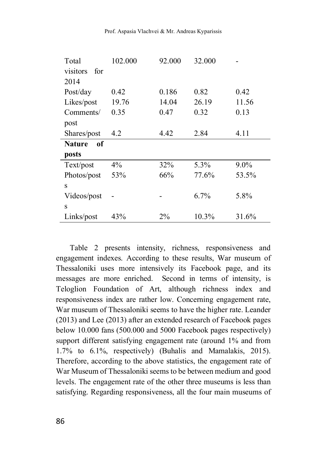Prof. Aspasia Vlachvei & Mr. Andreas Kyparissis

| Total               | 102.000 | 92.000 | 32.000 |         |
|---------------------|---------|--------|--------|---------|
| for<br>visitors     |         |        |        |         |
| 2014                |         |        |        |         |
| Post/day            | 0.42    | 0.186  | 0.82   | 0.42    |
| Likes/post          | 19.76   | 14.04  | 26.19  | 11.56   |
| Comments/           | 0.35    | 0.47   | 0.32   | 0.13    |
| post                |         |        |        |         |
| Shares/post         | 4.2     | 4.42   | 2.84   | 4.11    |
|                     |         |        |        |         |
| of<br><b>Nature</b> |         |        |        |         |
| posts               |         |        |        |         |
| Text/post           | 4%      | 32%    | 5.3%   | $9.0\%$ |
| Photos/post         | 53%     | 66%    | 77.6%  | 53.5%   |
| S                   |         |        |        |         |
| Videos/post         |         |        | 6.7%   | 5.8%    |
| S                   |         |        |        |         |

Table 2 presents intensity, richness, responsiveness and engagement indexes. According to these results, War museum of Thessaloniki uses more intensively its Facebook page, and its messages are more enriched. Second in terms of intensity, is Teloglion Foundation of Art, although richness index and responsiveness index are rather low. Concerning engagement rate, War museum of Thessaloniki seems to have the higher rate. Leander (2013) and Lee (2013) after an extended research of Facebook pages below 10.000 fans (500.000 and 5000 Facebook pages respectively) support different satisfying engagement rate (around 1% and from 1.7% to 6.1%, respectively) (Buhalis and Mamalakis, 2015). Therefore, according to the above statistics, the engagement rate of War Museum of Thessaloniki seems to be between medium and good levels. The engagement rate of the other three museums is less than satisfying. Regarding responsiveness, all the four main museums of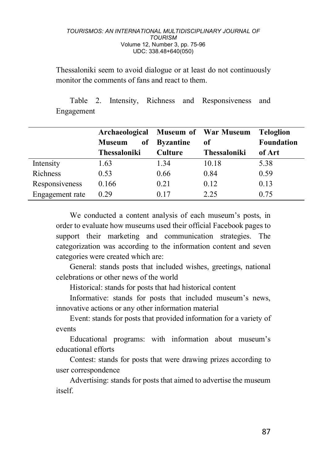Thessaloniki seem to avoid dialogue or at least do not continuously monitor the comments of fans and react to them.

Table 2. Intensity, Richness and Responsiveness and Engagement

|                 | Archaeological      |                  | <b>Museum of War Museum</b> | <b>Teloglion</b>  |
|-----------------|---------------------|------------------|-----------------------------|-------------------|
|                 | of<br><b>Museum</b> | <b>Byzantine</b> | оf                          | <b>Foundation</b> |
|                 | <b>Thessaloniki</b> | <b>Culture</b>   | <b>Thessaloniki</b>         | of Art            |
| Intensity       | 1.63                | 1.34             | 10.18                       | 5.38              |
| <b>Richness</b> | 0.53                | 0.66             | 0.84                        | 0.59              |
| Responsiveness  | 0.166               | 0.21             | 0.12                        | 0.13              |
| Engagement rate | 0.29                | 0.17             | 2.25                        | 0.75              |

We conducted a content analysis of each museum's posts, in order to evaluate how museums used their official Facebook pages to support their marketing and communication strategies. The categorization was according to the information content and seven categories were created which are:

General: stands posts that included wishes, greetings, national celebrations or other news of the world

Historical: stands for posts that had historical content

Informative: stands for posts that included museum's news, innovative actions or any other information material

Event: stands for posts that provided information for a variety of events

Educational programs: with information about museum's educational efforts

Contest: stands for posts that were drawing prizes according to user correspondence

Advertising: stands for posts that aimed to advertise the museum itself.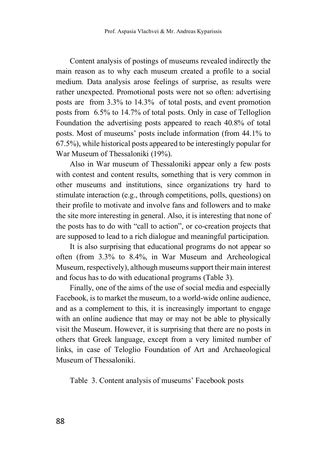Content analysis of postings of museums revealed indirectly the main reason as to why each museum created a profile to a social medium. Data analysis arose feelings of surprise, as results were rather unexpected. Promotional posts were not so often: advertising posts are from 3.3% to 14.3% of total posts, and event promotion posts from 6.5% to 14.7% of total posts. Only in case of Telloglion Foundation the advertising posts appeared to reach 40.8% of total posts. Most of museums' posts include information (from 44.1% to 67.5%), while historical posts appeared to be interestingly popular for War Museum of Thessaloniki (19%).

Also in War museum of Thessaloniki appear only a few posts with contest and content results, something that is very common in other museums and institutions, since organizations try hard to stimulate interaction (e.g., through competitions, polls, questions) on their profile to motivate and involve fans and followers and to make the site more interesting in general. Also, it is interesting that none of the posts has to do with "call to action", or co-creation projects that are supposed to lead to a rich dialogue and meaningful participation.

It is also surprising that educational programs do not appear so often (from 3.3% to 8.4%, in War Museum and Archeological Museum, respectively), although museums support their main interest and focus has to do with educational programs (Table 3).

Finally, one of the aims of the use of social media and especially Facebook, is to market the museum, to a world-wide online audience, and as a complement to this, it is increasingly important to engage with an online audience that may or may not be able to physically visit the Museum. However, it is surprising that there are no posts in others that Greek language, except from a very limited number of links, in case of Teloglio Foundation of Art and Archaeological Museum of Thessaloniki.

Table 3. Content analysis of museums' Facebook posts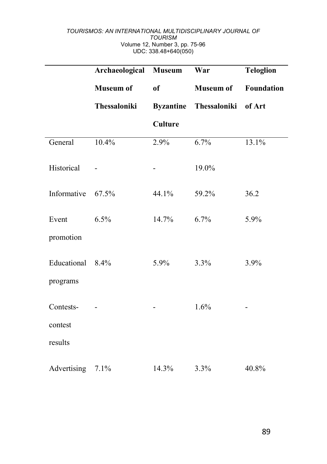|                   | Archaeological Museum |                  | War              | <b>Teloglion</b>  |
|-------------------|-----------------------|------------------|------------------|-------------------|
|                   | <b>Museum of</b>      | <sub>of</sub>    | <b>Museum of</b> | <b>Foundation</b> |
|                   | Thessaloniki          | <b>Byzantine</b> | Thessaloniki     | of Art            |
|                   |                       | Culture          |                  |                   |
| General           | 10.4%                 | 2.9%             | 6.7%             | 13.1%             |
| Historical        |                       |                  | 19.0%            |                   |
| Informative 67.5% |                       | 44.1%            | 59.2%            | 36.2              |
| Event             | 6.5%                  | 14.7%            | 6.7%             | 5.9%              |
| promotion         |                       |                  |                  |                   |
| Educational       | 8.4%                  | $5.9\%$          | 3.3%             | 3.9%              |
| programs          |                       |                  |                  |                   |
| Contests-         |                       |                  | 1.6%             |                   |
| contest           |                       |                  |                  |                   |
| results           |                       |                  |                  |                   |
| Advertising       | 7.1%                  | 14.3%            | 3.3%             | 40.8%             |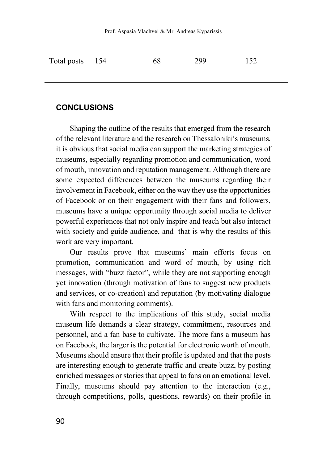| Total posts 154 | -68 | 299 | 152 |
|-----------------|-----|-----|-----|
|                 |     |     |     |

## **CONCLUSIONS**

Shaping the outline of the results that emerged from the research of the relevant literature and the research on Thessaloniki's museums, it is obvious that social media can support the marketing strategies of museums, especially regarding promotion and communication, word of mouth, innovation and reputation management. Although there are some expected differences between the museums regarding their involvement in Facebook, either on the way they use the opportunities of Facebook or on their engagement with their fans and followers, museums have a unique opportunity through social media to deliver powerful experiences that not only inspire and teach but also interact with society and guide audience, and that is why the results of this work are very important.

Our results prove that museums' main efforts focus on promotion, communication and word of mouth, by using rich messages, with "buzz factor", while they are not supporting enough yet innovation (through motivation of fans to suggest new products and services, or co-creation) and reputation (by motivating dialogue with fans and monitoring comments).

With respect to the implications of this study, social media museum life demands a clear strategy, commitment, resources and personnel, and a fan base to cultivate. The more fans a museum has on Facebook, the larger is the potential for electronic worth of mouth. Museums should ensure that their profile is updated and that the posts are interesting enough to generate traffic and create buzz, by posting enriched messages or stories that appeal to fans on an emotional level. Finally, museums should pay attention to the interaction (e.g., through competitions, polls, questions, rewards) on their profile in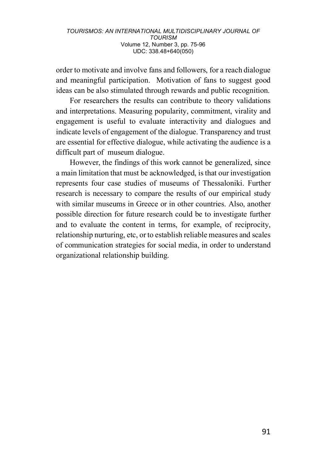order to motivate and involve fans and followers, for a reach dialogue and meaningful participation. Motivation of fans to suggest good ideas can be also stimulated through rewards and public recognition.

For researchers the results can contribute to theory validations and interpretations. Measuring popularity, commitment, virality and engagement is useful to evaluate interactivity and dialogues and indicate levels of engagement of the dialogue. Transparency and trust are essential for effective dialogue, while activating the audience is a difficult part of museum dialogue.

However, the findings of this work cannot be generalized, since a main limitation that must be acknowledged, is that our investigation represents four case studies of museums of Thessaloniki. Further research is necessary to compare the results of our empirical study with similar museums in Greece or in other countries. Also, another possible direction for future research could be to investigate further and to evaluate the content in terms, for example, of reciprocity, relationship nurturing, etc, or to establish reliable measures and scales of communication strategies for social media, in order to understand organizational relationship building.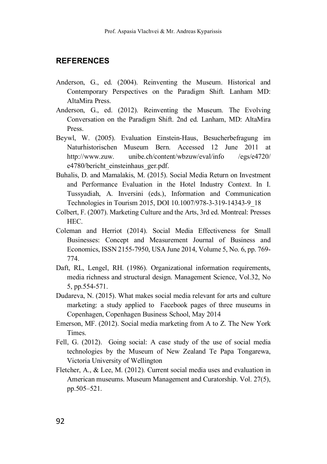## **REFERENCES**

- Anderson, G., ed. (2004). Reinventing the Museum. Historical and Contemporary Perspectives on the Paradigm Shift. Lanham MD: AltaMira Press.
- Anderson, G., ed. (2012). Reinventing the Museum. The Evolving Conversation on the Paradigm Shift. 2nd ed. Lanham, MD: AltaMira Press.
- Beywl, W. (2005). Evaluation Einstein-Haus, Besucherbefragung im Naturhistorischen Museum Bern. Accessed 12 June 2011 at http://www.zuw. unibe.ch/content/wbzuw/eval/info /egs/e4720/ e4780/bericht\_einsteinhaus\_ger.pdf.
- Buhalis, D. and Mamalakis, M. (2015). Social Media Return on Investment and Performance Evaluation in the Hotel Industry Context. In I. Tussyadiah, A. Inversini (eds.), Information and Communication Technologies in Tourism 2015, DOI 10.1007/978-3-319-14343-9\_18
- Colbert, F. (2007). Marketing Culture and the Arts, 3rd ed. Montreal: Presses HEC.
- Coleman and Herriot (2014). Social Media Effectiveness for Small Businesses: Concept and Measurement Journal of Business and Economics, ISSN 2155-7950, USA June 2014, Volume 5, No. 6, pp. 769- 774.
- Daft, RL, Lengel, RH. (1986). Organizational information requirements, media richness and structural design. Management Science, Vol.32, No 5, pp.554-571.
- Dudareva, N. (2015). What makes social media relevant for arts and culture marketing: a study applied to Facebook pages of three museums in Copenhagen, Copenhagen Business School, May 2014
- Emerson, MF. (2012). Social media marketing from A to Z. The New York Times.
- Fell, G. (2012). Going social: A case study of the use of social media technologies by the Museum of New Zealand Te Papa Tongarewa, Victoria University of Wellington
- Fletcher, A., & Lee, M. (2012). Current social media uses and evaluation in American museums. Museum Management and Curatorship. Vol. 27(5), pp.505–521.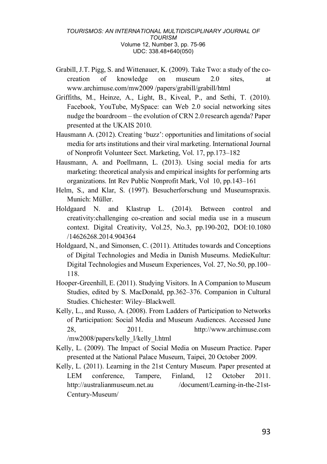- Grabill, J.T. Pigg, S. and Wittenauer, K. (2009). Take Two: a study of the cocreation of knowledge on museum 2.0 sites, at www.archimuse.com/mw2009 /papers/grabill/grabill/html
- Griffiths, M., Heinze, A., Light, B., Kiveal, P., and Sethi, T. (2010). Facebook, YouTube, MySpace: can Web 2.0 social networking sites nudge the boardroom – the evolution of CRN 2.0 research agenda? Paper presented at the UKAIS 2010.
- Hausmann A. (2012). Creating 'buzz': opportunities and limitations of social media for arts institutions and their viral marketing. International Journal of Nonprofit Volunteer Sect. Marketing, Vol. 17, pp.173–182
- Hausmann, A. and Poellmann, L. (2013). Using social media for arts marketing: theoretical analysis and empirical insights for performing arts organizations. Int Rev Public Nonprofit Mark, Vol 10, pp.143–161
- Helm, S., and Klar, S. (1997). Besucherforschung und Museumspraxis. Munich: Müller.
- Holdgaard N. and Klastrup L. (2014). Between control and creativity:challenging co-creation and social media use in a museum context. Digital Creativity, Vol.25, No.3, pp.190-202, DOI:10.1080 /14626268.2014.904364
- Holdgaard, N., and Simonsen, C. (2011). Attitudes towards and Conceptions of Digital Technologies and Media in Danish Museums. MedieKultur: Digital Technologies and Museum Experiences, Vol. 27, No.50, pp.100– 118.
- Hooper-Greenhill, E. (2011). Studying Visitors. In A Companion to Museum Studies, edited by S. MacDonald, pp.362–376. Companion in Cultural Studies. Chichester: Wiley–Blackwell.
- Kelly, L., and Russo, A. (2008). From Ladders of Participation to Networks of Participation: Social Media and Museum Audiences. Accessed June 28, 2011. http://www.archimuse.com /mw2008/papers/kelly\_l/kelly\_l.html
- Kelly, L. (2009). The Impact of Social Media on Museum Practice. Paper presented at the National Palace Museum, Taipei, 20 October 2009.
- Kelly, L. (2011). Learning in the 21st Century Museum. Paper presented at LEM conference, Tampere, Finland, 12 October 2011. http://australianmuseum.net.au /document/Learning-in-the-21st-Century-Museum/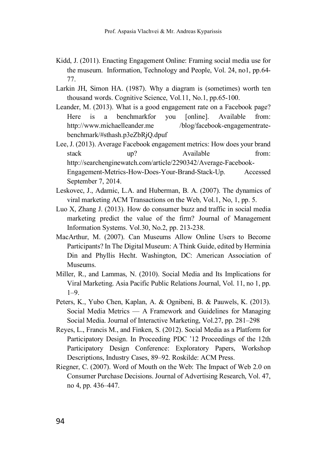- Kidd, J. (2011). Enacting Engagement Online: Framing social media use for the museum. Information, Technology and People, Vol. 24, no1, pp.64- 77.
- Larkin JH, Simon HA. (1987). Why a diagram is (sometimes) worth ten thousand words. Cognitive Science, Vol.11, No.1, pp.65-100.
- Leander, M. (2013). What is a good engagement rate on a Facebook page? Here is a benchmarkfor you [online]. Available from: http://www.michaelleander.me /blog/facebook-engagementratebenchmark/#sthash.p3eZbRjQ.dpuf
- Lee, J. (2013). Average Facebook engagement metrics: How does your brand stack up? Available from: http://searchenginewatch.com/article/2290342/Average-Facebook-Engagement-Metrics-How-Does-Your-Brand-Stack-Up. Accessed September 7, 2014.
- Leskovec, J., Adamic, L.A. and Huberman, B. A. (2007). The dynamics of viral marketing ACM Transactions on the Web, Vol.1, No, 1, pp. 5.
- Luo X, Zhang J. (2013). How do consumer buzz and traffic in social media marketing predict the value of the firm? Journal of Management Information Systems. Vol.30, No.2, pp. 213-238.
- MacArthur, M. (2007). Can Museums Allow Online Users to Become Participants? In The Digital Museum: A Think Guide, edited by Herminia Din and Phyllis Hecht. Washington, DC: American Association of Museums.
- Miller, R., and Lammas, N. (2010). Social Media and Its Implications for Viral Marketing. Asia Pacific Public Relations Journal, Vol. 11, no 1, pp.  $1 - 9$
- Peters, K., Yubo Chen, Kaplan, A. & Ognibeni, B. & Pauwels, K. (2013). Social Media Metrics — A Framework and Guidelines for Managing Social Media. Journal of Interactive Marketing, Vol.27, pp. 281–298
- Reyes, L., Francis M., and Finken, S. (2012). Social Media as a Platform for Participatory Design. In Proceeding PDC '12 Proceedings of the 12th Participatory Design Conference: Exploratory Papers, Workshop Descriptions, Industry Cases, 89–92. Roskilde: ACM Press.
- Riegner, C. (2007). Word of Mouth on the Web: The Impact of Web 2.0 on Consumer Purchase Decisions. Journal of Advertising Research, Vol. 47, no 4, pp. 436–447.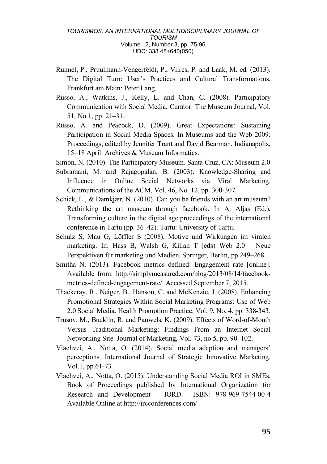- Runnel, P., Pruulmann-Vengerfeldt, P., Viires, P. and Laak, M. ed. (2013). The Digital Turn: User's Practices and Cultural Transformations. Frankfurt am Main: Peter Lang.
- Russo, A., Watkins, J., Kelly, L. and Chan, C. (2008). Participatory Communication with Social Media. Curator: The Museum Journal, Vol. 51, No.1, pp. 21–31.
- Russo, A. and Peacock, D. (2009). Great Expectations: Sustaining Participation in Social Media Spaces. In Museums and the Web 2009: Proceedings, edited by Jennifer Trant and David Bearman. Indianapolis, 15–18 April. Archives & Museum Informatics.
- Simon, N. (2010). The Participatory Museum. Santa Cruz, CA: Museum 2.0
- Subramani, M. and Rajagopalan, B. (2003). Knowledge-Sharing and Influence in Online Social Networks via Viral Marketing. Communications of the ACM, Vol. 46, No. 12, pp. 300-307.
- Schick, L., & Damkjær, N. (2010). Can you be friends with an art museum? Rethinking the art museum through facebook. In A. Aljas (Ed.), Transforming culture in the digital age:proceedings of the international conference in Tartu (pp. 36–42). Tartu: University of Tartu.
- Schulz S, Mau G, Löffler S (2008). Motive und Wirkungen im viralen marketing. In: Hass B, Walsh G, Kilian T (eds) Web 2.0 – Neue Perspektiven für marketing und Medien. Springer, Berlin, pp 249–268
- Smitha N. (2013). Facebook metrics defined: Engagement rate [online]. Available from: http://simplymeasured.com/blog/2013/08/14/facebookmetrics-defined-engagement-rate/. Accessed September 7, 2015.
- Thackeray, R., Neiger, B., Hanson, C. and McKenzie, J. (2008). Enhancing Promotional Strategies Within Social Marketing Programs: Use of Web 2.0 Social Media. Health Promotion Practice, Vol. 9, No. 4, pp. 338-343.
- Trusov, M., Bucklin, R. and Pauwels, K. (2009). Effects of Word-of-Mouth Versus Traditional Marketing: Findings From an Internet Social Networking Site. Journal of Marketing, Vol. 73, no 5, pp. 90–102.
- Vlachvei, A., Notta, O. (2014). Social media adaption and managers' perceptions. International Journal of Strategic Innovative Marketing. Vol.1, pp.61-73
- Vlachvei, A., Notta, O. (2015). Understanding Social Media ROI in SMEs. Book of Proceedings published by International Organization for Research and Development – IORD. ISBN: 978-969-7544-00-4 Available Online at http://ircconferences.com/